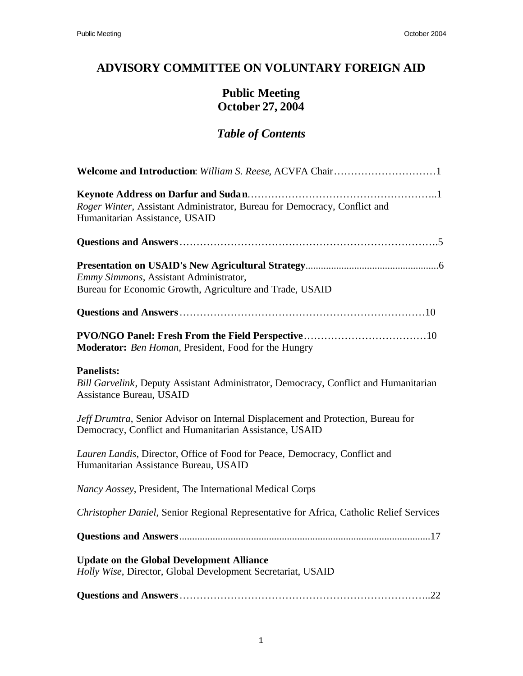# **ADVISORY COMMITTEE ON VOLUNTARY FOREIGN AID**

# **Public Meeting October 27, 2004**

# *Table of Contents*

| Roger Winter, Assistant Administrator, Bureau for Democracy, Conflict and<br>Humanitarian Assistance, USAID                                |
|--------------------------------------------------------------------------------------------------------------------------------------------|
|                                                                                                                                            |
| Emmy Simmons, Assistant Administrator,<br>Bureau for Economic Growth, Agriculture and Trade, USAID                                         |
|                                                                                                                                            |
| Moderator: Ben Homan, President, Food for the Hungry                                                                                       |
| <b>Panelists:</b><br>Bill Garvelink, Deputy Assistant Administrator, Democracy, Conflict and Humanitarian<br>Assistance Bureau, USAID      |
| Jeff Drumtra, Senior Advisor on Internal Displacement and Protection, Bureau for<br>Democracy, Conflict and Humanitarian Assistance, USAID |
| Lauren Landis, Director, Office of Food for Peace, Democracy, Conflict and<br>Humanitarian Assistance Bureau, USAID                        |
| Nancy Aossey, President, The International Medical Corps                                                                                   |
| Christopher Daniel, Senior Regional Representative for Africa, Catholic Relief Services                                                    |
|                                                                                                                                            |
| <b>Update on the Global Development Alliance</b><br>Holly Wise, Director, Global Development Secretariat, USAID                            |
|                                                                                                                                            |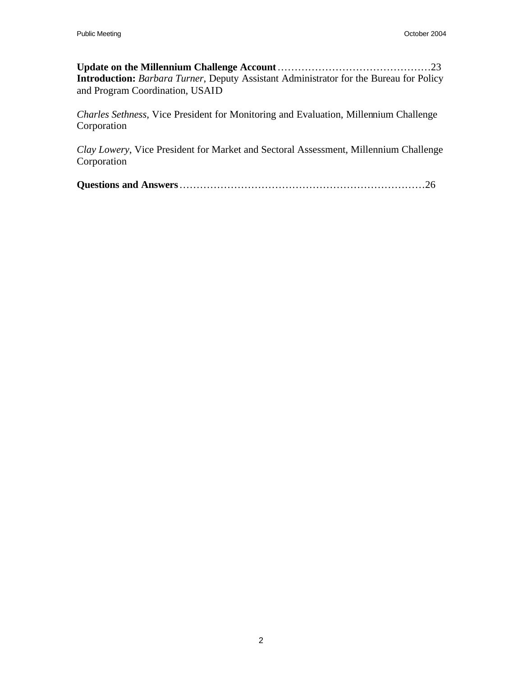**Update on the Millennium Challenge Account**………………………………………23 **Introduction:** *Barbara Turner*, Deputy Assistant Administrator for the Bureau for Policy and Program Coordination, USAID

*Charles Sethness*, Vice President for Monitoring and Evaluation, Millennium Challenge Corporation

*Clay Lowery*, Vice President for Market and Sectoral Assessment, Millennium Challenge Corporation

|--|--|--|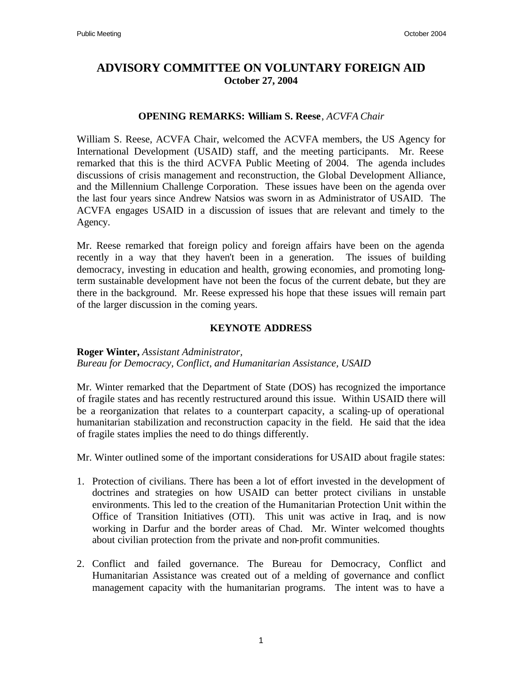# **ADVISORY COMMITTEE ON VOLUNTARY FOREIGN AID October 27, 2004**

#### **OPENING REMARKS: William S. Reese**, *ACVFA Chair*

William S. Reese, ACVFA Chair, welcomed the ACVFA members, the US Agency for International Development (USAID) staff, and the meeting participants. Mr. Reese remarked that this is the third ACVFA Public Meeting of 2004. The agenda includes discussions of crisis management and reconstruction, the Global Development Alliance, and the Millennium Challenge Corporation. These issues have been on the agenda over the last four years since Andrew Natsios was sworn in as Administrator of USAID. The ACVFA engages USAID in a discussion of issues that are relevant and timely to the Agency.

Mr. Reese remarked that foreign policy and foreign affairs have been on the agenda recently in a way that they haven't been in a generation. The issues of building democracy, investing in education and health, growing economies, and promoting longterm sustainable development have not been the focus of the current debate, but they are there in the background. Mr. Reese expressed his hope that these issues will remain part of the larger discussion in the coming years.

#### **KEYNOTE ADDRESS**

#### **Roger Winter,** *Assistant Administrator,*

*Bureau for Democracy, Conflict, and Humanitarian Assistance, USAID*

Mr. Winter remarked that the Department of State (DOS) has recognized the importance of fragile states and has recently restructured around this issue. Within USAID there will be a reorganization that relates to a counterpart capacity, a scaling-up of operational humanitarian stabilization and reconstruction capacity in the field. He said that the idea of fragile states implies the need to do things differently.

Mr. Winter outlined some of the important considerations for USAID about fragile states:

- 1. Protection of civilians. There has been a lot of effort invested in the development of doctrines and strategies on how USAID can better protect civilians in unstable environments. This led to the creation of the Humanitarian Protection Unit within the Office of Transition Initiatives (OTI). This unit was active in Iraq, and is now working in Darfur and the border areas of Chad. Mr. Winter welcomed thoughts about civilian protection from the private and non-profit communities.
- 2. Conflict and failed governance. The Bureau for Democracy, Conflict and Humanitarian Assistance was created out of a melding of governance and conflict management capacity with the humanitarian programs. The intent was to have a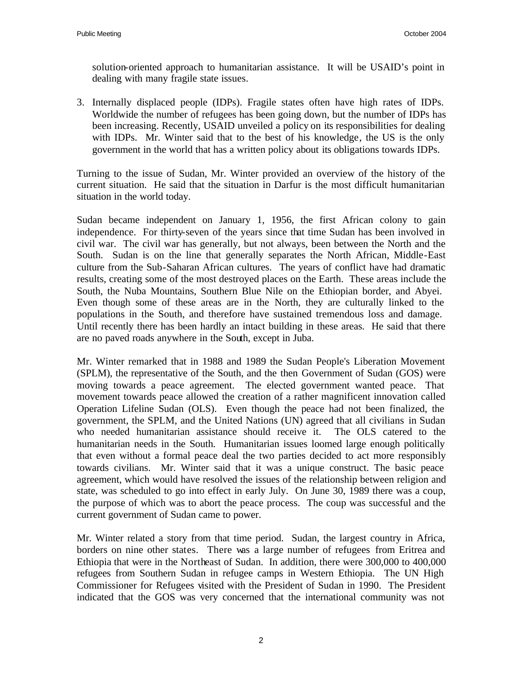solution-oriented approach to humanitarian assistance. It will be USAID's point in dealing with many fragile state issues.

3. Internally displaced people (IDPs). Fragile states often have high rates of IDPs. Worldwide the number of refugees has been going down, but the number of IDPs has been increasing. Recently, USAID unveiled a policy on its responsibilities for dealing with IDPs. Mr. Winter said that to the best of his knowledge, the US is the only government in the world that has a written policy about its obligations towards IDPs.

Turning to the issue of Sudan, Mr. Winter provided an overview of the history of the current situation. He said that the situation in Darfur is the most difficult humanitarian situation in the world today.

Sudan became independent on January 1, 1956, the first African colony to gain independence. For thirty-seven of the years since that time Sudan has been involved in civil war. The civil war has generally, but not always, been between the North and the South. Sudan is on the line that generally separates the North African, Middle-East culture from the Sub-Saharan African cultures. The years of conflict have had dramatic results, creating some of the most destroyed places on the Earth. These areas include the South, the Nuba Mountains, Southern Blue Nile on the Ethiopian border, and Abyei. Even though some of these areas are in the North, they are culturally linked to the populations in the South, and therefore have sustained tremendous loss and damage. Until recently there has been hardly an intact building in these areas. He said that there are no paved roads anywhere in the South, except in Juba.

Mr. Winter remarked that in 1988 and 1989 the Sudan People's Liberation Movement (SPLM), the representative of the South, and the then Government of Sudan (GOS) were moving towards a peace agreement. The elected government wanted peace. That movement towards peace allowed the creation of a rather magnificent innovation called Operation Lifeline Sudan (OLS). Even though the peace had not been finalized, the government, the SPLM, and the United Nations (UN) agreed that all civilians in Sudan who needed humanitarian assistance should receive it. The OLS catered to the humanitarian needs in the South. Humanitarian issues loomed large enough politically that even without a formal peace deal the two parties decided to act more responsibly towards civilians. Mr. Winter said that it was a unique construct. The basic peace agreement, which would have resolved the issues of the relationship between religion and state, was scheduled to go into effect in early July. On June 30, 1989 there was a coup, the purpose of which was to abort the peace process. The coup was successful and the current government of Sudan came to power.

Mr. Winter related a story from that time period. Sudan, the largest country in Africa, borders on nine other states. There was a large number of refugees from Eritrea and Ethiopia that were in the Northeast of Sudan. In addition, there were 300,000 to 400,000 refugees from Southern Sudan in refugee camps in Western Ethiopia. The UN High Commissioner for Refugees visited with the President of Sudan in 1990. The President indicated that the GOS was very concerned that the international community was not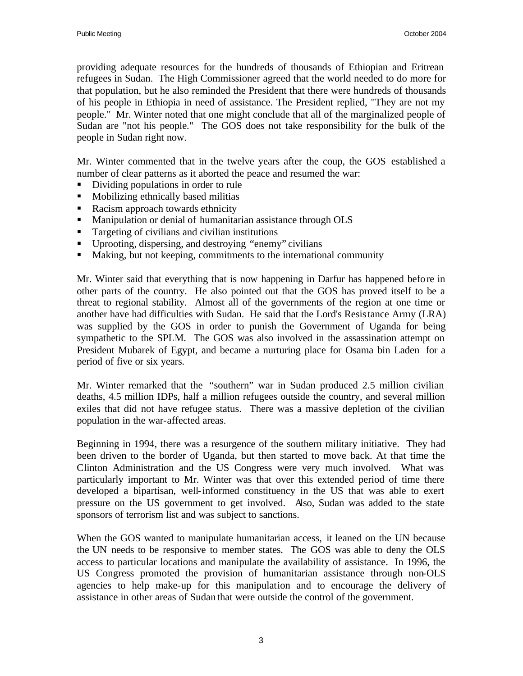providing adequate resources for the hundreds of thousands of Ethiopian and Eritrean refugees in Sudan. The High Commissioner agreed that the world needed to do more for that population, but he also reminded the President that there were hundreds of thousands of his people in Ethiopia in need of assistance. The President replied, "They are not my people." Mr. Winter noted that one might conclude that all of the marginalized people of Sudan are "not his people." The GOS does not take responsibility for the bulk of the people in Sudan right now.

Mr. Winter commented that in the twelve years after the coup, the GOS established a number of clear patterns as it aborted the peace and resumed the war:

- ß Dividing populations in order to rule
- Mobilizing ethnically based militias
- Racism approach towards ethnicity
- **Manipulation or denial of humanitarian assistance through OLS**
- $\blacksquare$  Targeting of civilians and civilian institutions
- Uprooting, dispersing, and destroying "enemy" civilians
- Making, but not keeping, commitments to the international community

Mr. Winter said that everything that is now happening in Darfur has happened before in other parts of the country. He also pointed out that the GOS has proved itself to be a threat to regional stability. Almost all of the governments of the region at one time or another have had difficulties with Sudan. He said that the Lord's Resistance Army (LRA) was supplied by the GOS in order to punish the Government of Uganda for being sympathetic to the SPLM. The GOS was also involved in the assassination attempt on President Mubarek of Egypt, and became a nurturing place for Osama bin Laden for a period of five or six years.

Mr. Winter remarked that the "southern" war in Sudan produced 2.5 million civilian deaths, 4.5 million IDPs, half a million refugees outside the country, and several million exiles that did not have refugee status. There was a massive depletion of the civilian population in the war-affected areas.

Beginning in 1994, there was a resurgence of the southern military initiative. They had been driven to the border of Uganda, but then started to move back. At that time the Clinton Administration and the US Congress were very much involved. What was particularly important to Mr. Winter was that over this extended period of time there developed a bipartisan, well-informed constituency in the US that was able to exert pressure on the US government to get involved. Also, Sudan was added to the state sponsors of terrorism list and was subject to sanctions.

When the GOS wanted to manipulate humanitarian access, it leaned on the UN because the UN needs to be responsive to member states. The GOS was able to deny the OLS access to particular locations and manipulate the availability of assistance. In 1996, the US Congress promoted the provision of humanitarian assistance through non-OLS agencies to help make-up for this manipulation and to encourage the delivery of assistance in other areas of Sudan that were outside the control of the government.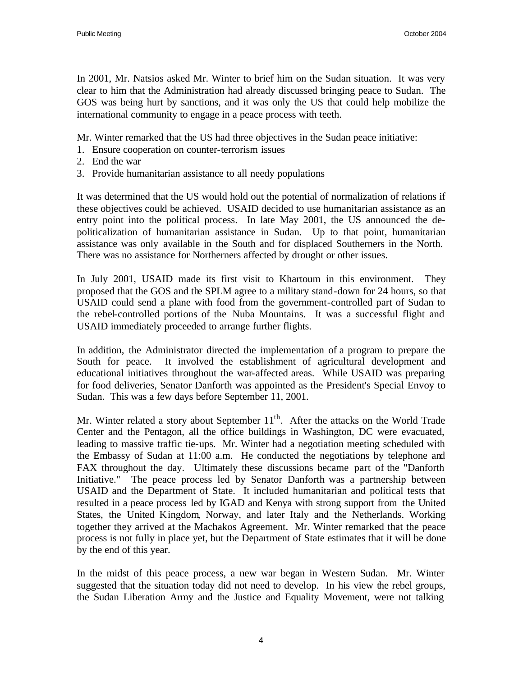In 2001, Mr. Natsios asked Mr. Winter to brief him on the Sudan situation. It was very clear to him that the Administration had already discussed bringing peace to Sudan. The GOS was being hurt by sanctions, and it was only the US that could help mobilize the international community to engage in a peace process with teeth.

Mr. Winter remarked that the US had three objectives in the Sudan peace initiative:

- 1. Ensure cooperation on counter-terrorism issues
- 2. End the war
- 3. Provide humanitarian assistance to all needy populations

It was determined that the US would hold out the potential of normalization of relations if these objectives could be achieved. USAID decided to use humanitarian assistance as an entry point into the political process. In late May 2001, the US announced the depoliticalization of humanitarian assistance in Sudan. Up to that point, humanitarian assistance was only available in the South and for displaced Southerners in the North. There was no assistance for Northerners affected by drought or other issues.

In July 2001, USAID made its first visit to Khartoum in this environment. They proposed that the GOS and the SPLM agree to a military stand-down for 24 hours, so that USAID could send a plane with food from the government-controlled part of Sudan to the rebel-controlled portions of the Nuba Mountains. It was a successful flight and USAID immediately proceeded to arrange further flights.

In addition, the Administrator directed the implementation of a program to prepare the South for peace. It involved the establishment of agricultural development and educational initiatives throughout the war-affected areas. While USAID was preparing for food deliveries, Senator Danforth was appointed as the President's Special Envoy to Sudan. This was a few days before September 11, 2001.

Mr. Winter related a story about September  $11<sup>th</sup>$ . After the attacks on the World Trade Center and the Pentagon, all the office buildings in Washington, DC were evacuated, leading to massive traffic tie-ups. Mr. Winter had a negotiation meeting scheduled with the Embassy of Sudan at 11:00 a.m. He conducted the negotiations by telephone and FAX throughout the day. Ultimately these discussions became part of the "Danforth Initiative." The peace process led by Senator Danforth was a partnership between USAID and the Department of State. It included humanitarian and political tests that resulted in a peace process led by IGAD and Kenya with strong support from the United States, the United Kingdom, Norway, and later Italy and the Netherlands. Working together they arrived at the Machakos Agreement. Mr. Winter remarked that the peace process is not fully in place yet, but the Department of State estimates that it will be done by the end of this year.

In the midst of this peace process, a new war began in Western Sudan. Mr. Winter suggested that the situation today did not need to develop. In his view the rebel groups, the Sudan Liberation Army and the Justice and Equality Movement, were not talking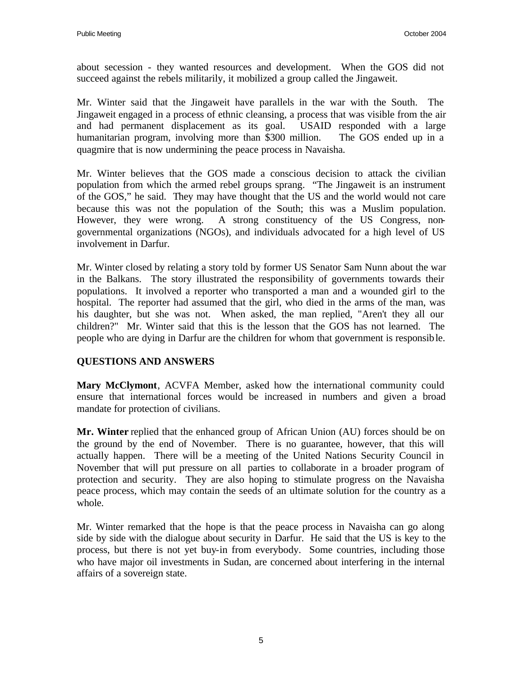about secession - they wanted resources and development. When the GOS did not succeed against the rebels militarily, it mobilized a group called the Jingaweit.

Mr. Winter said that the Jingaweit have parallels in the war with the South. The Jingaweit engaged in a process of ethnic cleansing, a process that was visible from the air and had permanent displacement as its goal. USAID responded with a large humanitarian program, involving more than \$300 million. The GOS ended up in a quagmire that is now undermining the peace process in Navaisha.

Mr. Winter believes that the GOS made a conscious decision to attack the civilian population from which the armed rebel groups sprang. "The Jingaweit is an instrument of the GOS," he said. They may have thought that the US and the world would not care because this was not the population of the South; this was a Muslim population. However, they were wrong. A strong constituency of the US Congress, nongovernmental organizations (NGOs), and individuals advocated for a high level of US involvement in Darfur.

Mr. Winter closed by relating a story told by former US Senator Sam Nunn about the war in the Balkans. The story illustrated the responsibility of governments towards their populations. It involved a reporter who transported a man and a wounded girl to the hospital. The reporter had assumed that the girl, who died in the arms of the man, was his daughter, but she was not. When asked, the man replied, "Aren't they all our children?" Mr. Winter said that this is the lesson that the GOS has not learned. The people who are dying in Darfur are the children for whom that government is responsible.

# **QUESTIONS AND ANSWERS**

**Mary McClymont**, ACVFA Member, asked how the international community could ensure that international forces would be increased in numbers and given a broad mandate for protection of civilians.

**Mr. Winter** replied that the enhanced group of African Union (AU) forces should be on the ground by the end of November. There is no guarantee, however, that this will actually happen. There will be a meeting of the United Nations Security Council in November that will put pressure on all parties to collaborate in a broader program of protection and security. They are also hoping to stimulate progress on the Navaisha peace process, which may contain the seeds of an ultimate solution for the country as a whole.

Mr. Winter remarked that the hope is that the peace process in Navaisha can go along side by side with the dialogue about security in Darfur. He said that the US is key to the process, but there is not yet buy-in from everybody. Some countries, including those who have major oil investments in Sudan, are concerned about interfering in the internal affairs of a sovereign state.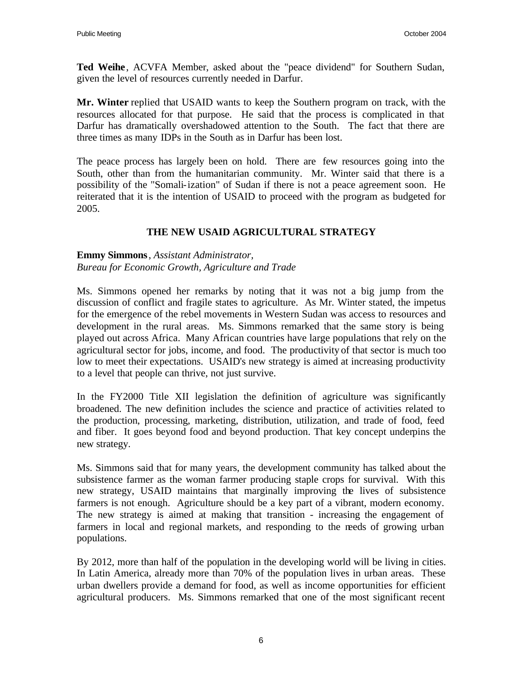**Ted Weihe**, ACVFA Member, asked about the "peace dividend" for Southern Sudan, given the level of resources currently needed in Darfur.

**Mr. Winter** replied that USAID wants to keep the Southern program on track, with the resources allocated for that purpose. He said that the process is complicated in that Darfur has dramatically overshadowed attention to the South. The fact that there are three times as many IDPs in the South as in Darfur has been lost.

The peace process has largely been on hold. There are few resources going into the South, other than from the humanitarian community. Mr. Winter said that there is a possibility of the "Somali-ization" of Sudan if there is not a peace agreement soon. He reiterated that it is the intention of USAID to proceed with the program as budgeted for 2005.

# **THE NEW USAID AGRICULTURAL STRATEGY**

#### **Emmy Simmons**, *Assistant Administrator, Bureau for Economic Growth, Agriculture and Trade*

Ms. Simmons opened her remarks by noting that it was not a big jump from the discussion of conflict and fragile states to agriculture. As Mr. Winter stated, the impetus for the emergence of the rebel movements in Western Sudan was access to resources and development in the rural areas. Ms. Simmons remarked that the same story is being played out across Africa. Many African countries have large populations that rely on the agricultural sector for jobs, income, and food. The productivity of that sector is much too low to meet their expectations. USAID's new strategy is aimed at increasing productivity to a level that people can thrive, not just survive.

In the FY2000 Title XII legislation the definition of agriculture was significantly broadened. The new definition includes the science and practice of activities related to the production, processing, marketing, distribution, utilization, and trade of food, feed and fiber. It goes beyond food and beyond production. That key concept underpins the new strategy.

Ms. Simmons said that for many years, the development community has talked about the subsistence farmer as the woman farmer producing staple crops for survival. With this new strategy, USAID maintains that marginally improving the lives of subsistence farmers is not enough. Agriculture should be a key part of a vibrant, modern economy. The new strategy is aimed at making that transition - increasing the engagement of farmers in local and regional markets, and responding to the needs of growing urban populations.

By 2012, more than half of the population in the developing world will be living in cities. In Latin America, already more than 70% of the population lives in urban areas. These urban dwellers provide a demand for food, as well as income opportunities for efficient agricultural producers. Ms. Simmons remarked that one of the most significant recent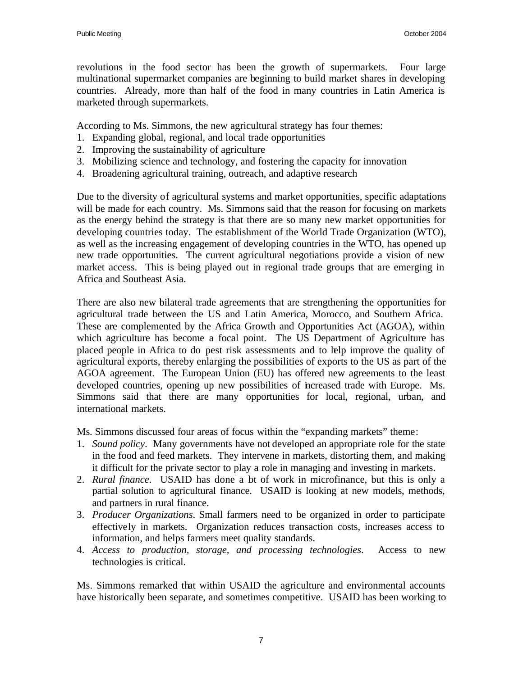revolutions in the food sector has been the growth of supermarkets. Four large multinational supermarket companies are beginning to build market shares in developing countries. Already, more than half of the food in many countries in Latin America is marketed through supermarkets.

According to Ms. Simmons, the new agricultural strategy has four themes:

- 1. Expanding global, regional, and local trade opportunities
- 2. Improving the sustainability of agriculture
- 3. Mobilizing science and technology, and fostering the capacity for innovation
- 4. Broadening agricultural training, outreach, and adaptive research

Due to the diversity of agricultural systems and market opportunities, specific adaptations will be made for each country. Ms. Simmons said that the reason for focusing on markets as the energy behind the strategy is that there are so many new market opportunities for developing countries today. The establishment of the World Trade Organization (WTO), as well as the increasing engagement of developing countries in the WTO, has opened up new trade opportunities. The current agricultural negotiations provide a vision of new market access. This is being played out in regional trade groups that are emerging in Africa and Southeast Asia.

There are also new bilateral trade agreements that are strengthening the opportunities for agricultural trade between the US and Latin America, Morocco, and Southern Africa. These are complemented by the Africa Growth and Opportunities Act (AGOA), within which agriculture has become a focal point. The US Department of Agriculture has placed people in Africa to do pest risk assessments and to help improve the quality of agricultural exports, thereby enlarging the possibilities of exports to the US as part of the AGOA agreement. The European Union (EU) has offered new agreements to the least developed countries, opening up new possibilities of increased trade with Europe. Ms. Simmons said that there are many opportunities for local, regional, urban, and international markets.

Ms. Simmons discussed four areas of focus within the "expanding markets" theme:

- 1. *Sound policy*. Many governments have not developed an appropriate role for the state in the food and feed markets. They intervene in markets, distorting them, and making it difficult for the private sector to play a role in managing and investing in markets.
- 2. *Rural finance*. USAID has done a bt of work in microfinance, but this is only a partial solution to agricultural finance. USAID is looking at new models, methods, and partners in rural finance.
- 3. *Producer Organizations*. Small farmers need to be organized in order to participate effectively in markets. Organization reduces transaction costs, increases access to information, and helps farmers meet quality standards.
- 4. *Access to production, storage, and processing technologies*. Access to new technologies is critical.

Ms. Simmons remarked that within USAID the agriculture and environmental accounts have historically been separate, and sometimes competitive. USAID has been working to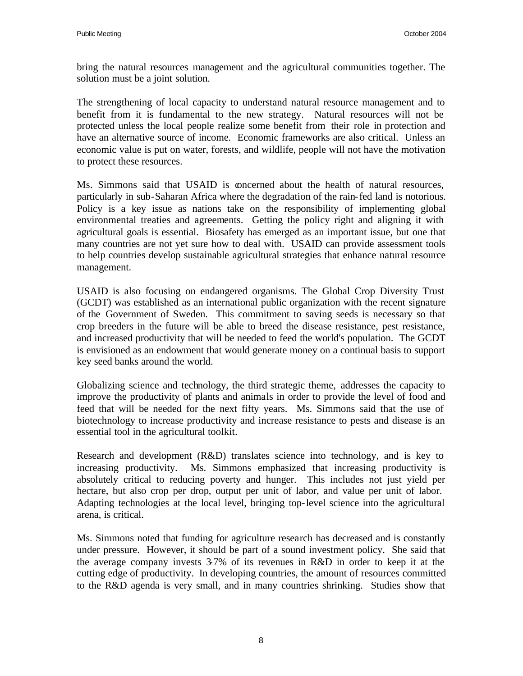bring the natural resources management and the agricultural communities together. The solution must be a joint solution.

The strengthening of local capacity to understand natural resource management and to benefit from it is fundamental to the new strategy. Natural resources will not be protected unless the local people realize some benefit from their role in protection and have an alternative source of income. Economic frameworks are also critical. Unless an economic value is put on water, forests, and wildlife, people will not have the motivation to protect these resources.

Ms. Simmons said that USAID is concerned about the health of natural resources, particularly in sub-Saharan Africa where the degradation of the rain-fed land is notorious. Policy is a key issue as nations take on the responsibility of implementing global environmental treaties and agreements. Getting the policy right and aligning it with agricultural goals is essential. Biosafety has emerged as an important issue, but one that many countries are not yet sure how to deal with. USAID can provide assessment tools to help countries develop sustainable agricultural strategies that enhance natural resource management.

USAID is also focusing on endangered organisms. The Global Crop Diversity Trust (GCDT) was established as an international public organization with the recent signature of the Government of Sweden. This commitment to saving seeds is necessary so that crop breeders in the future will be able to breed the disease resistance, pest resistance, and increased productivity that will be needed to feed the world's population. The GCDT is envisioned as an endowment that would generate money on a continual basis to support key seed banks around the world.

Globalizing science and technology, the third strategic theme, addresses the capacity to improve the productivity of plants and animals in order to provide the level of food and feed that will be needed for the next fifty years. Ms. Simmons said that the use of biotechnology to increase productivity and increase resistance to pests and disease is an essential tool in the agricultural toolkit.

Research and development (R&D) translates science into technology, and is key to increasing productivity. Ms. Simmons emphasized that increasing productivity is absolutely critical to reducing poverty and hunger. This includes not just yield per hectare, but also crop per drop, output per unit of labor, and value per unit of labor. Adapting technologies at the local level, bringing top-level science into the agricultural arena, is critical.

Ms. Simmons noted that funding for agriculture research has decreased and is constantly under pressure. However, it should be part of a sound investment policy. She said that the average company invests 3-7% of its revenues in R&D in order to keep it at the cutting edge of productivity. In developing countries, the amount of resources committed to the R&D agenda is very small, and in many countries shrinking. Studies show that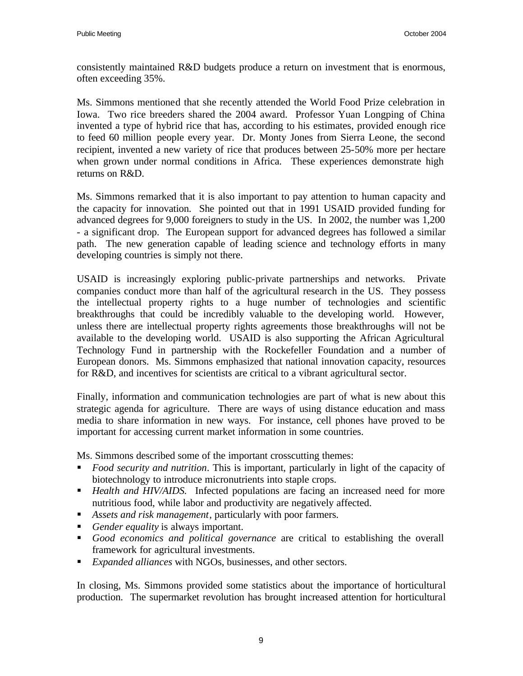consistently maintained R&D budgets produce a return on investment that is enormous, often exceeding 35%.

Ms. Simmons mentioned that she recently attended the World Food Prize celebration in Iowa. Two rice breeders shared the 2004 award. Professor Yuan Longping of China invented a type of hybrid rice that has, according to his estimates, provided enough rice to feed 60 million people every year. Dr. Monty Jones from Sierra Leone, the second recipient, invented a new variety of rice that produces between 25-50% more per hectare when grown under normal conditions in Africa. These experiences demonstrate high returns on R&D.

Ms. Simmons remarked that it is also important to pay attention to human capacity and the capacity for innovation. She pointed out that in 1991 USAID provided funding for advanced degrees for 9,000 foreigners to study in the US. In 2002, the number was 1,200 - a significant drop. The European support for advanced degrees has followed a similar path. The new generation capable of leading science and technology efforts in many developing countries is simply not there.

USAID is increasingly exploring public-private partnerships and networks. Private companies conduct more than half of the agricultural research in the US. They possess the intellectual property rights to a huge number of technologies and scientific breakthroughs that could be incredibly valuable to the developing world. However, unless there are intellectual property rights agreements those breakthroughs will not be available to the developing world. USAID is also supporting the African Agricultural Technology Fund in partnership with the Rockefeller Foundation and a number of European donors. Ms. Simmons emphasized that national innovation capacity, resources for R&D, and incentives for scientists are critical to a vibrant agricultural sector.

Finally, information and communication technologies are part of what is new about this strategic agenda for agriculture. There are ways of using distance education and mass media to share information in new ways. For instance, cell phones have proved to be important for accessing current market information in some countries.

Ms. Simmons described some of the important crosscutting themes:

- ß *Food security and nutrition*. This is important, particularly in light of the capacity of biotechnology to introduce micronutrients into staple crops.
- **Health and HIV/AIDS.** Infected populations are facing an increased need for more nutritious food, while labor and productivity are negatively affected.
- **B** Assets and risk management, particularly with poor farmers.
- *Gender equality* is always important.
- ß *Good economics and political governance* are critical to establishing the overall framework for agricultural investments.
- **Expanded alliances with NGOs, businesses, and other sectors.**

In closing, Ms. Simmons provided some statistics about the importance of horticultural production. The supermarket revolution has brought increased attention for horticultural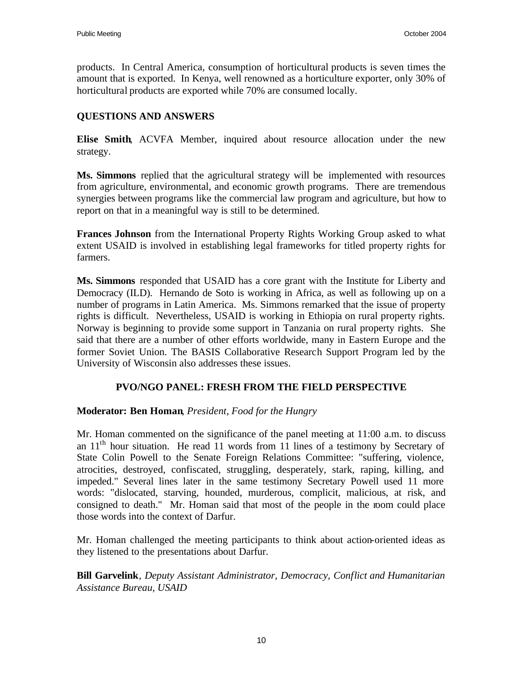products. In Central America, consumption of horticultural products is seven times the amount that is exported. In Kenya, well renowned as a horticulture exporter, only 30% of horticultural products are exported while 70% are consumed locally.

## **QUESTIONS AND ANSWERS**

**Elise Smith**, ACVFA Member, inquired about resource allocation under the new strategy.

**Ms. Simmons** replied that the agricultural strategy will be implemented with resources from agriculture, environmental, and economic growth programs. There are tremendous synergies between programs like the commercial law program and agriculture, but how to report on that in a meaningful way is still to be determined.

**Frances Johnson** from the International Property Rights Working Group asked to what extent USAID is involved in establishing legal frameworks for titled property rights for farmers.

**Ms. Simmons** responded that USAID has a core grant with the Institute for Liberty and Democracy (ILD). Hernando de Soto is working in Africa, as well as following up on a number of programs in Latin America. Ms. Simmons remarked that the issue of property rights is difficult. Nevertheless, USAID is working in Ethiopia on rural property rights. Norway is beginning to provide some support in Tanzania on rural property rights. She said that there are a number of other efforts worldwide, many in Eastern Europe and the former Soviet Union. The BASIS Collaborative Research Support Program led by the University of Wisconsin also addresses these issues.

#### **PVO/NGO PANEL: FRESH FROM THE FIELD PERSPECTIVE**

#### **Moderator: Ben Homan**, *President, Food for the Hungry*

Mr. Homan commented on the significance of the panel meeting at 11:00 a.m. to discuss an  $11<sup>th</sup>$  hour situation. He read 11 words from 11 lines of a testimony by Secretary of State Colin Powell to the Senate Foreign Relations Committee: "suffering, violence, atrocities, destroyed, confiscated, struggling, desperately, stark, raping, killing, and impeded." Several lines later in the same testimony Secretary Powell used 11 more words: "dislocated, starving, hounded, murderous, complicit, malicious, at risk, and consigned to death." Mr. Homan said that most of the people in the room could place those words into the context of Darfur.

Mr. Homan challenged the meeting participants to think about action-oriented ideas as they listened to the presentations about Darfur.

**Bill Garvelink**, *Deputy Assistant Administrator, Democracy, Conflict and Humanitarian Assistance Bureau, USAID*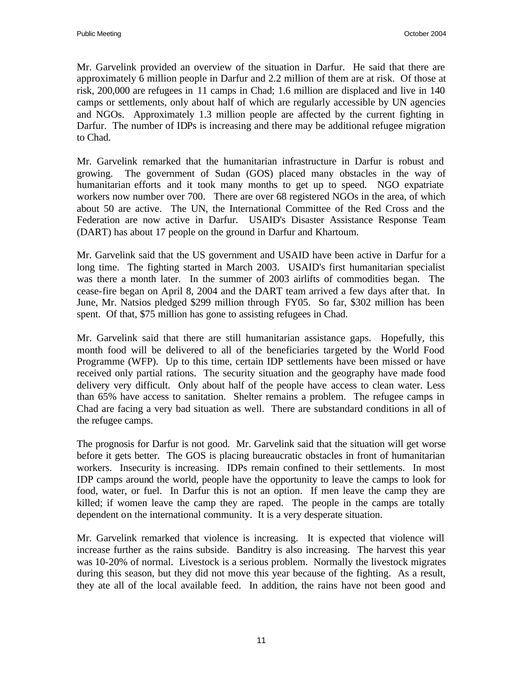Mr. Garvelink provided an overview of the situation in Darfur. He said that there are approximately 6 million people in Darfur and 2.2 million of them are at risk. Of those at risk, 200,000 are refugees in 11 camps in Chad; 1.6 million are displaced and live in 140 camps or settlements, only about half of which are regularly accessible by UN agencies and NGOs. Approximately 1.3 million people are affected by the current fighting in Darfur. The number of IDPs is increasing and there may be additional refugee migration to Chad.

Mr. Garvelink remarked that the humanitarian infrastructure in Darfur is robust and growing. The government of Sudan (GOS) placed many obstacles in the way of humanitarian efforts and it took many months to get up to speed. NGO expatriate workers now number over 700. There are over 68 registered NGOs in the area, of which about 50 are active. The UN, the International Committee of the Red Cross and the Federation are now active in Darfur. USAID's Disaster Assistance Response Team (DART) has about 17 people on the ground in Darfur and Khartoum.

Mr. Garvelink said that the US government and USAID have been active in Darfur for a long time. The fighting started in March 2003. USAID's first humanitarian specialist was there a month later. In the summer of 2003 airlifts of commodities began. The cease-fire began on April 8, 2004 and the DART team arrived a few days after that. In June, Mr. Natsios pledged \$299 million through FY05. So far, \$302 million has been spent. Of that, \$75 million has gone to assisting refugees in Chad.

Mr. Garvelink said that there are still humanitarian assistance gaps. Hopefully, this month food will be delivered to all of the beneficiaries targeted by the World Food Programme (WFP). Up to this time, certain IDP settlements have been missed or have received only partial rations. The security situation and the geography have made food delivery very difficult. Only about half of the people have access to clean water. Less than 65% have access to sanitation. Shelter remains a problem. The refugee camps in Chad are facing a very bad situation as well. There are substandard conditions in all of the refugee camps.

The prognosis for Darfur is not good. Mr. Garvelink said that the situation will get worse before it gets better. The GOS is placing bureaucratic obstacles in front of humanitarian workers. Insecurity is increasing. IDPs remain confined to their settlements. In most IDP camps around the world, people have the opportunity to leave the camps to look for food, water, or fuel. In Darfur this is not an option. If men leave the camp they are killed; if women leave the camp they are raped. The people in the camps are totally dependent on the international community. It is a very desperate situation.

Mr. Garvelink remarked that violence is increasing. It is expected that violence will increase further as the rains subside. Banditry is also increasing. The harvest this year was 10-20% of normal. Livestock is a serious problem. Normally the livestock migrates during this season, but they did not move this year because of the fighting. As a result, they ate all of the local available feed. In addition, the rains have not been good and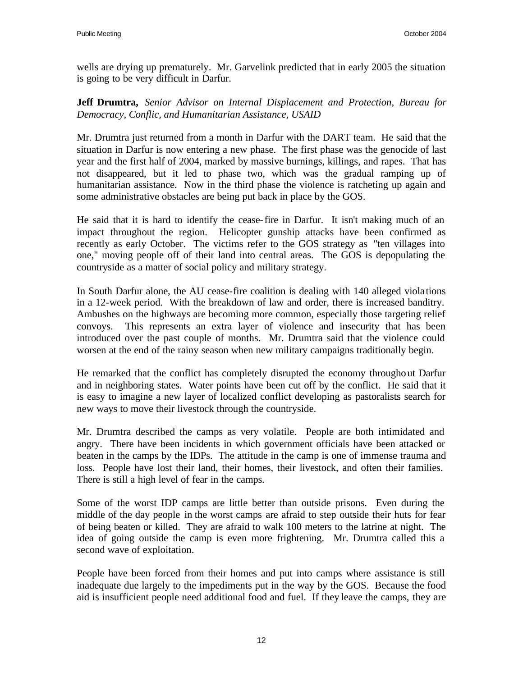wells are drying up prematurely. Mr. Garvelink predicted that in early 2005 the situation is going to be very difficult in Darfur.

**Jeff Drumtra,** *Senior Advisor on Internal Displacement and Protection, Bureau for Democracy, Conflic, and Humanitarian Assistance, USAID*

Mr. Drumtra just returned from a month in Darfur with the DART team. He said that the situation in Darfur is now entering a new phase. The first phase was the genocide of last year and the first half of 2004, marked by massive burnings, killings, and rapes. That has not disappeared, but it led to phase two, which was the gradual ramping up of humanitarian assistance. Now in the third phase the violence is ratcheting up again and some administrative obstacles are being put back in place by the GOS.

He said that it is hard to identify the cease-fire in Darfur. It isn't making much of an impact throughout the region. Helicopter gunship attacks have been confirmed as recently as early October. The victims refer to the GOS strategy as "ten villages into one," moving people off of their land into central areas. The GOS is depopulating the countryside as a matter of social policy and military strategy.

In South Darfur alone, the AU cease-fire coalition is dealing with 140 alleged viola tions in a 12-week period. With the breakdown of law and order, there is increased banditry. Ambushes on the highways are becoming more common, especially those targeting relief convoys. This represents an extra layer of violence and insecurity that has been introduced over the past couple of months. Mr. Drumtra said that the violence could worsen at the end of the rainy season when new military campaigns traditionally begin.

He remarked that the conflict has completely disrupted the economy throughout Darfur and in neighboring states. Water points have been cut off by the conflict. He said that it is easy to imagine a new layer of localized conflict developing as pastoralists search for new ways to move their livestock through the countryside.

Mr. Drumtra described the camps as very volatile. People are both intimidated and angry. There have been incidents in which government officials have been attacked or beaten in the camps by the IDPs. The attitude in the camp is one of immense trauma and loss. People have lost their land, their homes, their livestock, and often their families. There is still a high level of fear in the camps.

Some of the worst IDP camps are little better than outside prisons. Even during the middle of the day people in the worst camps are afraid to step outside their huts for fear of being beaten or killed. They are afraid to walk 100 meters to the latrine at night. The idea of going outside the camp is even more frightening. Mr. Drumtra called this a second wave of exploitation.

People have been forced from their homes and put into camps where assistance is still inadequate due largely to the impediments put in the way by the GOS. Because the food aid is insufficient people need additional food and fuel. If they leave the camps, they are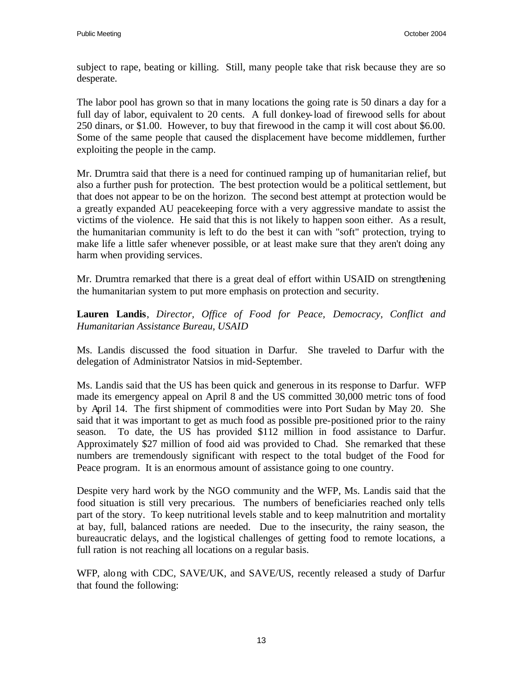subject to rape, beating or killing. Still, many people take that risk because they are so desperate.

The labor pool has grown so that in many locations the going rate is 50 dinars a day for a full day of labor, equivalent to 20 cents. A full donkey-load of firewood sells for about 250 dinars, or \$1.00. However, to buy that firewood in the camp it will cost about \$6.00. Some of the same people that caused the displacement have become middlemen, further exploiting the people in the camp.

Mr. Drumtra said that there is a need for continued ramping up of humanitarian relief, but also a further push for protection. The best protection would be a political settlement, but that does not appear to be on the horizon. The second best attempt at protection would be a greatly expanded AU peacekeeping force with a very aggressive mandate to assist the victims of the violence. He said that this is not likely to happen soon either. As a result, the humanitarian community is left to do the best it can with "soft" protection, trying to make life a little safer whenever possible, or at least make sure that they aren't doing any harm when providing services.

Mr. Drumtra remarked that there is a great deal of effort within USAID on strengthening the humanitarian system to put more emphasis on protection and security.

**Lauren Landis**, *Director, Office of Food for Peace, Democracy, Conflict and Humanitarian Assistance Bureau, USAID*

Ms. Landis discussed the food situation in Darfur. She traveled to Darfur with the delegation of Administrator Natsios in mid-September.

Ms. Landis said that the US has been quick and generous in its response to Darfur. WFP made its emergency appeal on April 8 and the US committed 30,000 metric tons of food by April 14. The first shipment of commodities were into Port Sudan by May 20. She said that it was important to get as much food as possible pre-positioned prior to the rainy season. To date, the US has provided \$112 million in food assistance to Darfur. Approximately \$27 million of food aid was provided to Chad. She remarked that these numbers are tremendously significant with respect to the total budget of the Food for Peace program. It is an enormous amount of assistance going to one country.

Despite very hard work by the NGO community and the WFP, Ms. Landis said that the food situation is still very precarious. The numbers of beneficiaries reached only tells part of the story. To keep nutritional levels stable and to keep malnutrition and mortality at bay, full, balanced rations are needed. Due to the insecurity, the rainy season, the bureaucratic delays, and the logistical challenges of getting food to remote locations, a full ration is not reaching all locations on a regular basis.

WFP, along with CDC, SAVE/UK, and SAVE/US, recently released a study of Darfur that found the following: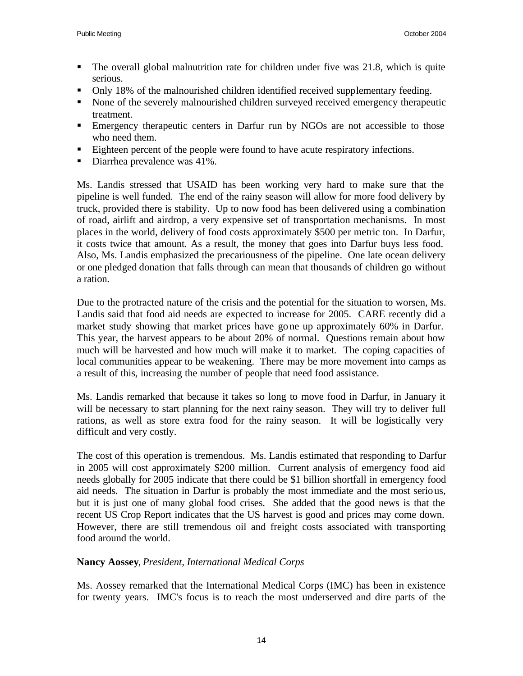- The overall global malnutrition rate for children under five was 21.8, which is quite serious.
- Only 18% of the malnourished children identified received supplementary feeding.
- None of the severely malnourished children surveyed received emergency therapeutic treatment.
- **Emergency therapeutic centers in Darfur run by NGOs are not accessible to those** who need them.
- Eighteen percent of the people were found to have acute respiratory infections.
- $\blacksquare$  Diarrhea prevalence was 41%.

Ms. Landis stressed that USAID has been working very hard to make sure that the pipeline is well funded. The end of the rainy season will allow for more food delivery by truck, provided there is stability. Up to now food has been delivered using a combination of road, airlift and airdrop, a very expensive set of transportation mechanisms. In most places in the world, delivery of food costs approximately \$500 per metric ton. In Darfur, it costs twice that amount. As a result, the money that goes into Darfur buys less food. Also, Ms. Landis emphasized the precariousness of the pipeline. One late ocean delivery or one pledged donation that falls through can mean that thousands of children go without a ration.

Due to the protracted nature of the crisis and the potential for the situation to worsen, Ms. Landis said that food aid needs are expected to increase for 2005. CARE recently did a market study showing that market prices have gone up approximately 60% in Darfur. This year, the harvest appears to be about 20% of normal. Questions remain about how much will be harvested and how much will make it to market. The coping capacities of local communities appear to be weakening. There may be more movement into camps as a result of this, increasing the number of people that need food assistance.

Ms. Landis remarked that because it takes so long to move food in Darfur, in January it will be necessary to start planning for the next rainy season. They will try to deliver full rations, as well as store extra food for the rainy season. It will be logistically very difficult and very costly.

The cost of this operation is tremendous. Ms. Landis estimated that responding to Darfur in 2005 will cost approximately \$200 million. Current analysis of emergency food aid needs globally for 2005 indicate that there could be \$1 billion shortfall in emergency food aid needs. The situation in Darfur is probably the most immediate and the most serious, but it is just one of many global food crises. She added that the good news is that the recent US Crop Report indicates that the US harvest is good and prices may come down. However, there are still tremendous oil and freight costs associated with transporting food around the world.

# **Nancy Aossey**, *President, International Medical Corps*

Ms. Aossey remarked that the International Medical Corps (IMC) has been in existence for twenty years. IMC's focus is to reach the most underserved and dire parts of the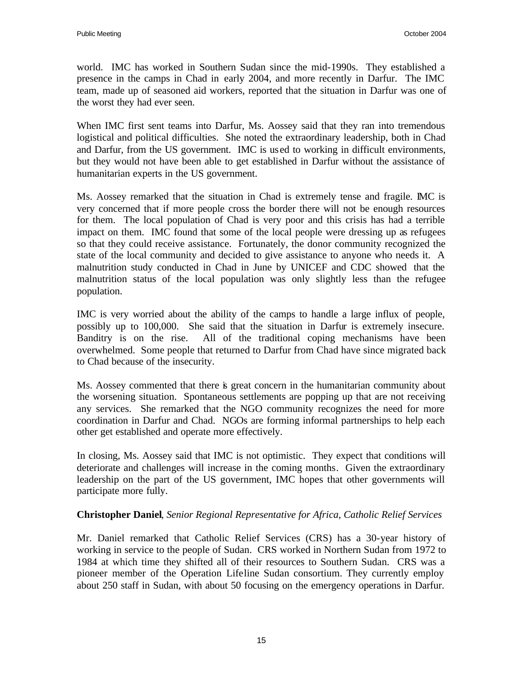world. IMC has worked in Southern Sudan since the mid-1990s. They established a presence in the camps in Chad in early 2004, and more recently in Darfur. The IMC team, made up of seasoned aid workers, reported that the situation in Darfur was one of the worst they had ever seen.

When IMC first sent teams into Darfur, Ms. Aossey said that they ran into tremendous logistical and political difficulties. She noted the extraordinary leadership, both in Chad and Darfur, from the US government. IMC is used to working in difficult environments, but they would not have been able to get established in Darfur without the assistance of humanitarian experts in the US government.

Ms. Aossey remarked that the situation in Chad is extremely tense and fragile. IMC is very concerned that if more people cross the border there will not be enough resources for them. The local population of Chad is very poor and this crisis has had a terrible impact on them. IMC found that some of the local people were dressing up as refugees so that they could receive assistance. Fortunately, the donor community recognized the state of the local community and decided to give assistance to anyone who needs it. A malnutrition study conducted in Chad in June by UNICEF and CDC showed that the malnutrition status of the local population was only slightly less than the refugee population.

IMC is very worried about the ability of the camps to handle a large influx of people, possibly up to 100,000. She said that the situation in Darfur is extremely insecure. Banditry is on the rise. All of the traditional coping mechanisms have been overwhelmed. Some people that returned to Darfur from Chad have since migrated back to Chad because of the insecurity.

Ms. Aossey commented that there is great concern in the humanitarian community about the worsening situation. Spontaneous settlements are popping up that are not receiving any services. She remarked that the NGO community recognizes the need for more coordination in Darfur and Chad. NGOs are forming informal partnerships to help each other get established and operate more effectively.

In closing, Ms. Aossey said that IMC is not optimistic. They expect that conditions will deteriorate and challenges will increase in the coming months. Given the extraordinary leadership on the part of the US government, IMC hopes that other governments will participate more fully.

#### **Christopher Daniel**, *Senior Regional Representative for Africa, Catholic Relief Services*

Mr. Daniel remarked that Catholic Relief Services (CRS) has a 30-year history of working in service to the people of Sudan. CRS worked in Northern Sudan from 1972 to 1984 at which time they shifted all of their resources to Southern Sudan. CRS was a pioneer member of the Operation Lifeline Sudan consortium. They currently employ about 250 staff in Sudan, with about 50 focusing on the emergency operations in Darfur.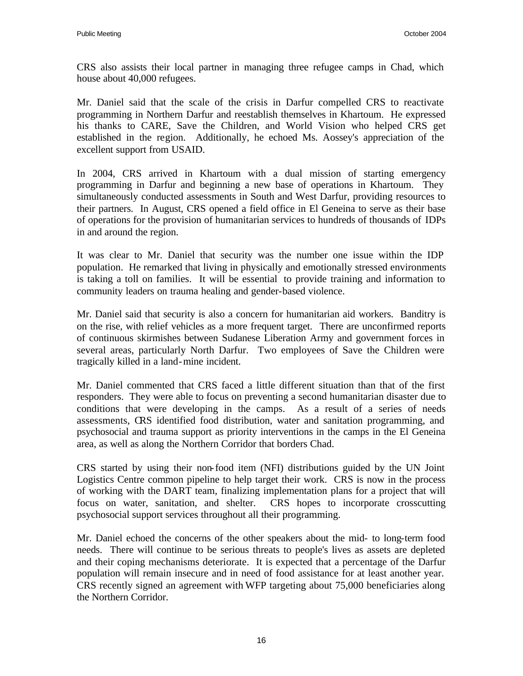CRS also assists their local partner in managing three refugee camps in Chad, which house about 40,000 refugees.

Mr. Daniel said that the scale of the crisis in Darfur compelled CRS to reactivate programming in Northern Darfur and reestablish themselves in Khartoum. He expressed his thanks to CARE, Save the Children, and World Vision who helped CRS get established in the region. Additionally, he echoed Ms. Aossey's appreciation of the excellent support from USAID.

In 2004, CRS arrived in Khartoum with a dual mission of starting emergency programming in Darfur and beginning a new base of operations in Khartoum. They simultaneously conducted assessments in South and West Darfur, providing resources to their partners. In August, CRS opened a field office in El Geneina to serve as their base of operations for the provision of humanitarian services to hundreds of thousands of IDPs in and around the region.

It was clear to Mr. Daniel that security was the number one issue within the IDP population. He remarked that living in physically and emotionally stressed environments is taking a toll on families. It will be essential to provide training and information to community leaders on trauma healing and gender-based violence.

Mr. Daniel said that security is also a concern for humanitarian aid workers. Banditry is on the rise, with relief vehicles as a more frequent target. There are unconfirmed reports of continuous skirmishes between Sudanese Liberation Army and government forces in several areas, particularly North Darfur. Two employees of Save the Children were tragically killed in a land-mine incident.

Mr. Daniel commented that CRS faced a little different situation than that of the first responders. They were able to focus on preventing a second humanitarian disaster due to conditions that were developing in the camps. As a result of a series of needs assessments, CRS identified food distribution, water and sanitation programming, and psychosocial and trauma support as priority interventions in the camps in the El Geneina area, as well as along the Northern Corridor that borders Chad.

CRS started by using their non-food item (NFI) distributions guided by the UN Joint Logistics Centre common pipeline to help target their work. CRS is now in the process of working with the DART team, finalizing implementation plans for a project that will focus on water, sanitation, and shelter. CRS hopes to incorporate crosscutting psychosocial support services throughout all their programming.

Mr. Daniel echoed the concerns of the other speakers about the mid- to long-term food needs. There will continue to be serious threats to people's lives as assets are depleted and their coping mechanisms deteriorate. It is expected that a percentage of the Darfur population will remain insecure and in need of food assistance for at least another year. CRS recently signed an agreement with WFP targeting about 75,000 beneficiaries along the Northern Corridor.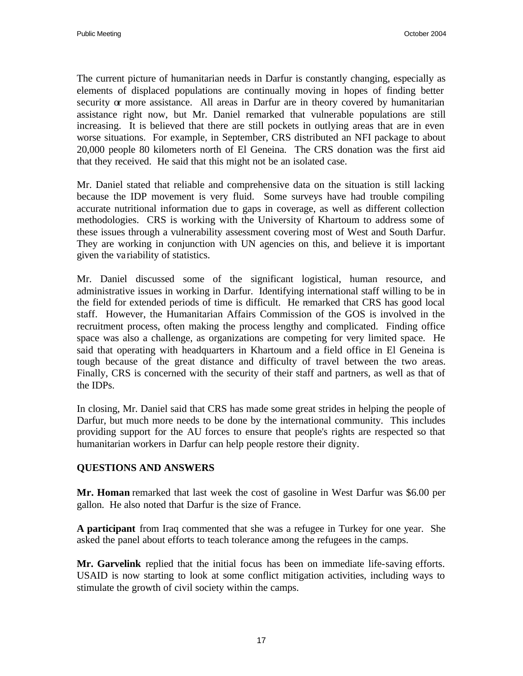The current picture of humanitarian needs in Darfur is constantly changing, especially as elements of displaced populations are continually moving in hopes of finding better security or more assistance. All areas in Darfur are in theory covered by humanitarian assistance right now, but Mr. Daniel remarked that vulnerable populations are still increasing. It is believed that there are still pockets in outlying areas that are in even worse situations. For example, in September, CRS distributed an NFI package to about 20,000 people 80 kilometers north of El Geneina. The CRS donation was the first aid that they received. He said that this might not be an isolated case.

Mr. Daniel stated that reliable and comprehensive data on the situation is still lacking because the IDP movement is very fluid. Some surveys have had trouble compiling accurate nutritional information due to gaps in coverage, as well as different collection methodologies. CRS is working with the University of Khartoum to address some of these issues through a vulnerability assessment covering most of West and South Darfur. They are working in conjunction with UN agencies on this, and believe it is important given the variability of statistics.

Mr. Daniel discussed some of the significant logistical, human resource, and administrative issues in working in Darfur. Identifying international staff willing to be in the field for extended periods of time is difficult. He remarked that CRS has good local staff. However, the Humanitarian Affairs Commission of the GOS is involved in the recruitment process, often making the process lengthy and complicated. Finding office space was also a challenge, as organizations are competing for very limited space. He said that operating with headquarters in Khartoum and a field office in El Geneina is tough because of the great distance and difficulty of travel between the two areas. Finally, CRS is concerned with the security of their staff and partners, as well as that of the IDPs.

In closing, Mr. Daniel said that CRS has made some great strides in helping the people of Darfur, but much more needs to be done by the international community. This includes providing support for the AU forces to ensure that people's rights are respected so that humanitarian workers in Darfur can help people restore their dignity.

#### **QUESTIONS AND ANSWERS**

**Mr. Homan** remarked that last week the cost of gasoline in West Darfur was \$6.00 per gallon. He also noted that Darfur is the size of France.

**A participant** from Iraq commented that she was a refugee in Turkey for one year. She asked the panel about efforts to teach tolerance among the refugees in the camps.

**Mr. Garvelink** replied that the initial focus has been on immediate life-saving efforts. USAID is now starting to look at some conflict mitigation activities, including ways to stimulate the growth of civil society within the camps.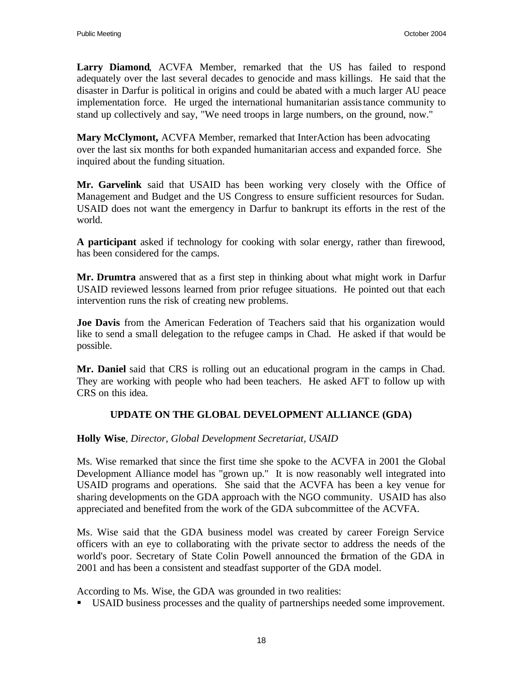**Larry Diamond**, ACVFA Member, remarked that the US has failed to respond adequately over the last several decades to genocide and mass killings. He said that the disaster in Darfur is political in origins and could be abated with a much larger AU peace implementation force. He urged the international humanitarian assistance community to stand up collectively and say, "We need troops in large numbers, on the ground, now."

**Mary McClymont,** ACVFA Member, remarked that InterAction has been advocating over the last six months for both expanded humanitarian access and expanded force. She inquired about the funding situation.

**Mr. Garvelink** said that USAID has been working very closely with the Office of Management and Budget and the US Congress to ensure sufficient resources for Sudan. USAID does not want the emergency in Darfur to bankrupt its efforts in the rest of the world.

**A participant** asked if technology for cooking with solar energy, rather than firewood, has been considered for the camps.

**Mr. Drumtra** answered that as a first step in thinking about what might work in Darfur USAID reviewed lessons learned from prior refugee situations. He pointed out that each intervention runs the risk of creating new problems.

**Joe Davis** from the American Federation of Teachers said that his organization would like to send a small delegation to the refugee camps in Chad. He asked if that would be possible.

**Mr. Daniel** said that CRS is rolling out an educational program in the camps in Chad. They are working with people who had been teachers. He asked AFT to follow up with CRS on this idea.

# **UPDATE ON THE GLOBAL DEVELOPMENT ALLIANCE (GDA)**

**Holly Wise**, *Director, Global Development Secretariat, USAID*

Ms. Wise remarked that since the first time she spoke to the ACVFA in 2001 the Global Development Alliance model has "grown up." It is now reasonably well integrated into USAID programs and operations. She said that the ACVFA has been a key venue for sharing developments on the GDA approach with the NGO community. USAID has also appreciated and benefited from the work of the GDA subcommittee of the ACVFA.

Ms. Wise said that the GDA business model was created by career Foreign Service officers with an eye to collaborating with the private sector to address the needs of the world's poor. Secretary of State Colin Powell announced the formation of the GDA in 2001 and has been a consistent and steadfast supporter of the GDA model.

According to Ms. Wise, the GDA was grounded in two realities:

ß USAID business processes and the quality of partnerships needed some improvement.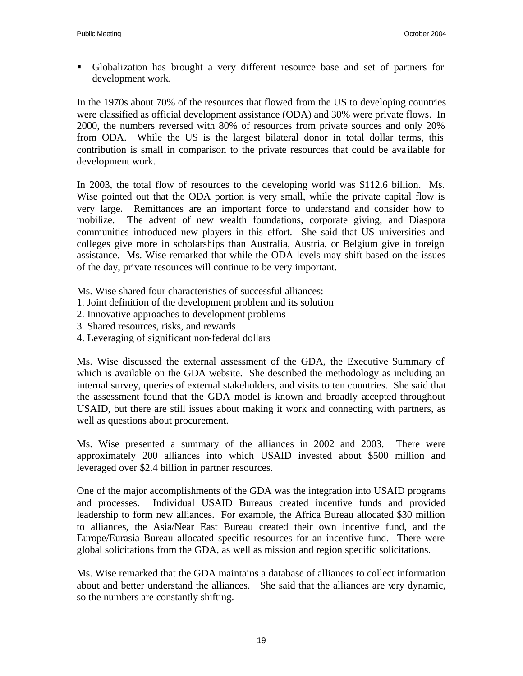ß Globalization has brought a very different resource base and set of partners for development work.

In the 1970s about 70% of the resources that flowed from the US to developing countries were classified as official development assistance (ODA) and 30% were private flows. In 2000, the numbers reversed with 80% of resources from private sources and only 20% from ODA. While the US is the largest bilateral donor in total dollar terms, this contribution is small in comparison to the private resources that could be ava ilable for development work.

In 2003, the total flow of resources to the developing world was \$112.6 billion. Ms. Wise pointed out that the ODA portion is very small, while the private capital flow is very large. Remittances are an important force to understand and consider how to mobilize. The advent of new wealth foundations, corporate giving, and Diaspora communities introduced new players in this effort. She said that US universities and colleges give more in scholarships than Australia, Austria, or Belgium give in foreign assistance. Ms. Wise remarked that while the ODA levels may shift based on the issues of the day, private resources will continue to be very important.

- Ms. Wise shared four characteristics of successful alliances:
- 1. Joint definition of the development problem and its solution
- 2. Innovative approaches to development problems
- 3. Shared resources, risks, and rewards
- 4. Leveraging of significant non-federal dollars

Ms. Wise discussed the external assessment of the GDA, the Executive Summary of which is available on the GDA website. She described the methodology as including an internal survey, queries of external stakeholders, and visits to ten countries. She said that the assessment found that the GDA model is known and broadly accepted throughout USAID, but there are still issues about making it work and connecting with partners, as well as questions about procurement.

Ms. Wise presented a summary of the alliances in 2002 and 2003. There were approximately 200 alliances into which USAID invested about \$500 million and leveraged over \$2.4 billion in partner resources.

One of the major accomplishments of the GDA was the integration into USAID programs and processes. Individual USAID Bureaus created incentive funds and provided leadership to form new alliances. For example, the Africa Bureau allocated \$30 million to alliances, the Asia/Near East Bureau created their own incentive fund, and the Europe/Eurasia Bureau allocated specific resources for an incentive fund. There were global solicitations from the GDA, as well as mission and region specific solicitations.

Ms. Wise remarked that the GDA maintains a database of alliances to collect information about and better understand the alliances. She said that the alliances are very dynamic, so the numbers are constantly shifting.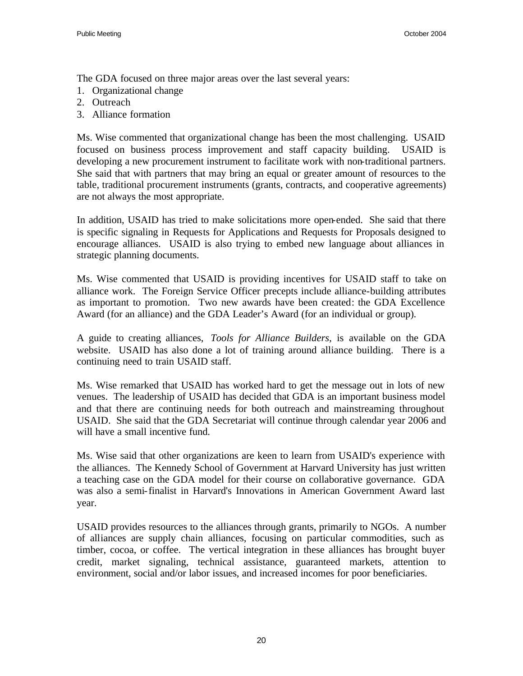The GDA focused on three major areas over the last several years:

- 1. Organizational change
- 2. Outreach
- 3. Alliance formation

Ms. Wise commented that organizational change has been the most challenging. USAID focused on business process improvement and staff capacity building. USAID is developing a new procurement instrument to facilitate work with non-traditional partners. She said that with partners that may bring an equal or greater amount of resources to the table, traditional procurement instruments (grants, contracts, and cooperative agreements) are not always the most appropriate.

In addition, USAID has tried to make solicitations more open-ended. She said that there is specific signaling in Requests for Applications and Requests for Proposals designed to encourage alliances. USAID is also trying to embed new language about alliances in strategic planning documents.

Ms. Wise commented that USAID is providing incentives for USAID staff to take on alliance work. The Foreign Service Officer precepts include alliance-building attributes as important to promotion. Two new awards have been created: the GDA Excellence Award (for an alliance) and the GDA Leader's Award (for an individual or group).

A guide to creating alliances, *Tools for Alliance Builders,* is available on the GDA website. USAID has also done a lot of training around alliance building. There is a continuing need to train USAID staff.

Ms. Wise remarked that USAID has worked hard to get the message out in lots of new venues. The leadership of USAID has decided that GDA is an important business model and that there are continuing needs for both outreach and mainstreaming throughout USAID. She said that the GDA Secretariat will continue through calendar year 2006 and will have a small incentive fund.

Ms. Wise said that other organizations are keen to learn from USAID's experience with the alliances. The Kennedy School of Government at Harvard University has just written a teaching case on the GDA model for their course on collaborative governance. GDA was also a semi-finalist in Harvard's Innovations in American Government Award last year.

USAID provides resources to the alliances through grants, primarily to NGOs. A number of alliances are supply chain alliances, focusing on particular commodities, such as timber, cocoa, or coffee. The vertical integration in these alliances has brought buyer credit, market signaling, technical assistance, guaranteed markets, attention to environment, social and/or labor issues, and increased incomes for poor beneficiaries.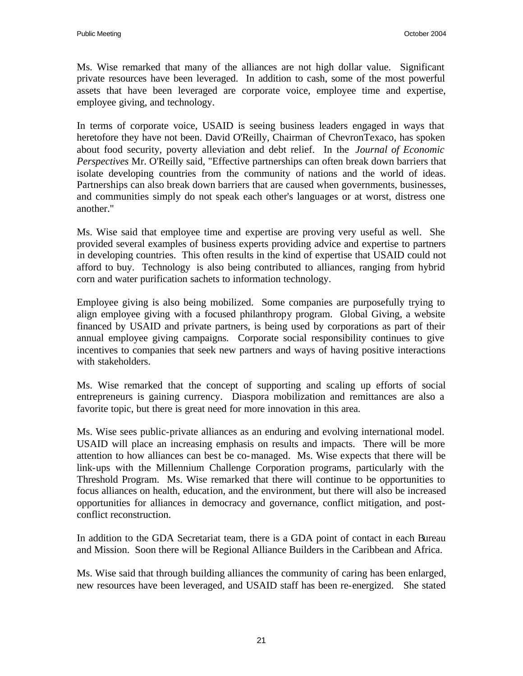Ms. Wise remarked that many of the alliances are not high dollar value. Significant private resources have been leveraged. In addition to cash, some of the most powerful assets that have been leveraged are corporate voice, employee time and expertise, employee giving, and technology.

In terms of corporate voice, USAID is seeing business leaders engaged in ways that heretofore they have not been. David O'Reilly, Chairman of ChevronTexaco, has spoken about food security, poverty alleviation and debt relief. In the *Journal of Economic Perspectives* Mr. O'Reilly said, "Effective partnerships can often break down barriers that isolate developing countries from the community of nations and the world of ideas. Partnerships can also break down barriers that are caused when governments, businesses, and communities simply do not speak each other's languages or at worst, distress one another."

Ms. Wise said that employee time and expertise are proving very useful as well. She provided several examples of business experts providing advice and expertise to partners in developing countries. This often results in the kind of expertise that USAID could not afford to buy. Technology is also being contributed to alliances, ranging from hybrid corn and water purification sachets to information technology.

Employee giving is also being mobilized. Some companies are purposefully trying to align employee giving with a focused philanthropy program. Global Giving, a website financed by USAID and private partners, is being used by corporations as part of their annual employee giving campaigns. Corporate social responsibility continues to give incentives to companies that seek new partners and ways of having positive interactions with stakeholders.

Ms. Wise remarked that the concept of supporting and scaling up efforts of social entrepreneurs is gaining currency. Diaspora mobilization and remittances are also a favorite topic, but there is great need for more innovation in this area.

Ms. Wise sees public-private alliances as an enduring and evolving international model. USAID will place an increasing emphasis on results and impacts. There will be more attention to how alliances can best be co-managed. Ms. Wise expects that there will be link-ups with the Millennium Challenge Corporation programs, particularly with the Threshold Program. Ms. Wise remarked that there will continue to be opportunities to focus alliances on health, education, and the environment, but there will also be increased opportunities for alliances in democracy and governance, conflict mitigation, and postconflict reconstruction.

In addition to the GDA Secretariat team, there is a GDA point of contact in each Bureau and Mission. Soon there will be Regional Alliance Builders in the Caribbean and Africa.

Ms. Wise said that through building alliances the community of caring has been enlarged, new resources have been leveraged, and USAID staff has been re-energized. She stated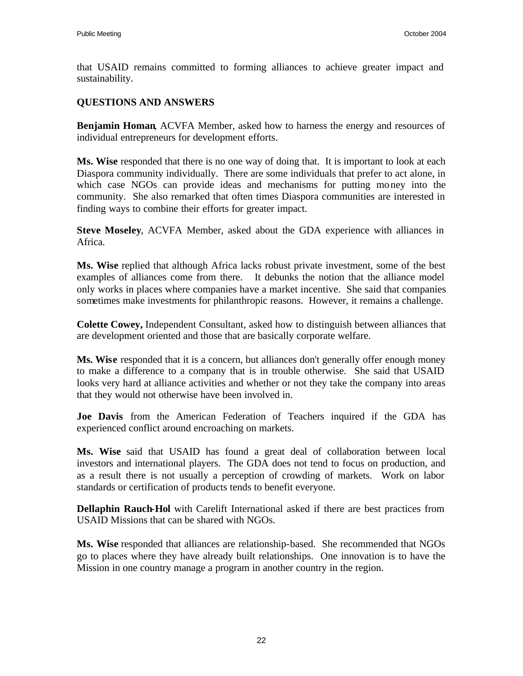that USAID remains committed to forming alliances to achieve greater impact and sustainability.

#### **QUESTIONS AND ANSWERS**

**Benjamin Homan**, ACVFA Member, asked how to harness the energy and resources of individual entrepreneurs for development efforts.

**Ms. Wise** responded that there is no one way of doing that. It is important to look at each Diaspora community individually. There are some individuals that prefer to act alone, in which case NGOs can provide ideas and mechanisms for putting money into the community. She also remarked that often times Diaspora communities are interested in finding ways to combine their efforts for greater impact.

**Steve Moseley**, ACVFA Member, asked about the GDA experience with alliances in Africa.

**Ms. Wise** replied that although Africa lacks robust private investment, some of the best examples of alliances come from there. It debunks the notion that the alliance model only works in places where companies have a market incentive. She said that companies sometimes make investments for philanthropic reasons. However, it remains a challenge.

**Colette Cowey,** Independent Consultant, asked how to distinguish between alliances that are development oriented and those that are basically corporate welfare.

**Ms. Wise** responded that it is a concern, but alliances don't generally offer enough money to make a difference to a company that is in trouble otherwise. She said that USAID looks very hard at alliance activities and whether or not they take the company into areas that they would not otherwise have been involved in.

**Joe Davis** from the American Federation of Teachers inquired if the GDA has experienced conflict around encroaching on markets.

**Ms. Wise** said that USAID has found a great deal of collaboration between local investors and international players. The GDA does not tend to focus on production, and as a result there is not usually a perception of crowding of markets. Work on labor standards or certification of products tends to benefit everyone.

**Dellaphin Rauch-Hol** with Carelift International asked if there are best practices from USAID Missions that can be shared with NGOs.

**Ms. Wise** responded that alliances are relationship-based. She recommended that NGOs go to places where they have already built relationships. One innovation is to have the Mission in one country manage a program in another country in the region.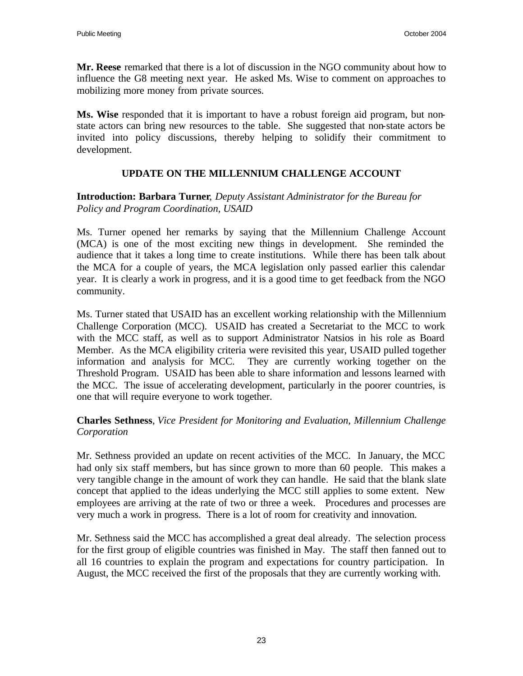**Mr. Reese** remarked that there is a lot of discussion in the NGO community about how to influence the G8 meeting next year. He asked Ms. Wise to comment on approaches to mobilizing more money from private sources.

**Ms. Wise** responded that it is important to have a robust foreign aid program, but nonstate actors can bring new resources to the table. She suggested that non-state actors be invited into policy discussions, thereby helping to solidify their commitment to development.

## **UPDATE ON THE MILLENNIUM CHALLENGE ACCOUNT**

#### **Introduction: Barbara Turner**, *Deputy Assistant Administrator for the Bureau for Policy and Program Coordination, USAID*

Ms. Turner opened her remarks by saying that the Millennium Challenge Account (MCA) is one of the most exciting new things in development. She reminded the audience that it takes a long time to create institutions. While there has been talk about the MCA for a couple of years, the MCA legislation only passed earlier this calendar year. It is clearly a work in progress, and it is a good time to get feedback from the NGO community.

Ms. Turner stated that USAID has an excellent working relationship with the Millennium Challenge Corporation (MCC). USAID has created a Secretariat to the MCC to work with the MCC staff, as well as to support Administrator Natsios in his role as Board Member. As the MCA eligibility criteria were revisited this year, USAID pulled together information and analysis for MCC. They are currently working together on the Threshold Program. USAID has been able to share information and lessons learned with the MCC. The issue of accelerating development, particularly in the poorer countries, is one that will require everyone to work together.

#### **Charles Sethness**, *Vice President for Monitoring and Evaluation, Millennium Challenge Corporation*

Mr. Sethness provided an update on recent activities of the MCC. In January, the MCC had only six staff members, but has since grown to more than 60 people. This makes a very tangible change in the amount of work they can handle. He said that the blank slate concept that applied to the ideas underlying the MCC still applies to some extent. New employees are arriving at the rate of two or three a week. Procedures and processes are very much a work in progress. There is a lot of room for creativity and innovation.

Mr. Sethness said the MCC has accomplished a great deal already. The selection process for the first group of eligible countries was finished in May. The staff then fanned out to all 16 countries to explain the program and expectations for country participation. In August, the MCC received the first of the proposals that they are currently working with.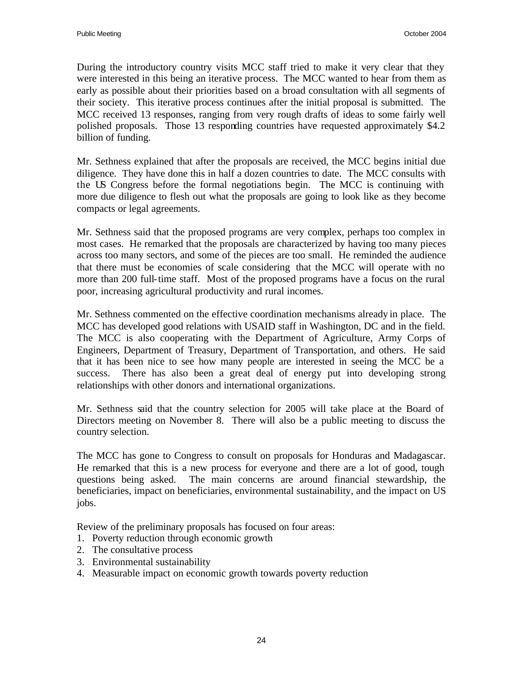During the introductory country visits MCC staff tried to make it very clear that they were interested in this being an iterative process. The MCC wanted to hear from them as early as possible about their priorities based on a broad consultation with all segments of their society. This iterative process continues after the initial proposal is submitted. The MCC received 13 responses, ranging from very rough drafts of ideas to some fairly well polished proposals. Those 13 responding countries have requested approximately \$4.2 billion of funding.

Mr. Sethness explained that after the proposals are received, the MCC begins initial due diligence. They have done this in half a dozen countries to date. The MCC consults with the US Congress before the formal negotiations begin. The MCC is continuing with more due diligence to flesh out what the proposals are going to look like as they become compacts or legal agreements.

Mr. Sethness said that the proposed programs are very complex, perhaps too complex in most cases. He remarked that the proposals are characterized by having too many pieces across too many sectors, and some of the pieces are too small. He reminded the audience that there must be economies of scale considering that the MCC will operate with no more than 200 full-time staff. Most of the proposed programs have a focus on the rural poor, increasing agricultural productivity and rural incomes.

Mr. Sethness commented on the effective coordination mechanisms already in place. The MCC has developed good relations with USAID staff in Washington, DC and in the field. The MCC is also cooperating with the Department of Agriculture, Army Corps of Engineers, Department of Treasury, Department of Transportation, and others. He said that it has been nice to see how many people are interested in seeing the MCC be a success. There has also been a great deal of energy put into developing strong relationships with other donors and international organizations.

Mr. Sethness said that the country selection for 2005 will take place at the Board of Directors meeting on November 8. There will also be a public meeting to discuss the country selection.

The MCC has gone to Congress to consult on proposals for Honduras and Madagascar. He remarked that this is a new process for everyone and there are a lot of good, tough questions being asked. The main concerns are around financial stewardship, the beneficiaries, impact on beneficiaries, environmental sustainability, and the impact on US jobs.

Review of the preliminary proposals has focused on four areas:

- 1. Poverty reduction through economic growth
- 2. The consultative process
- 3. Environmental sustainability
- 4. Measurable impact on economic growth towards poverty reduction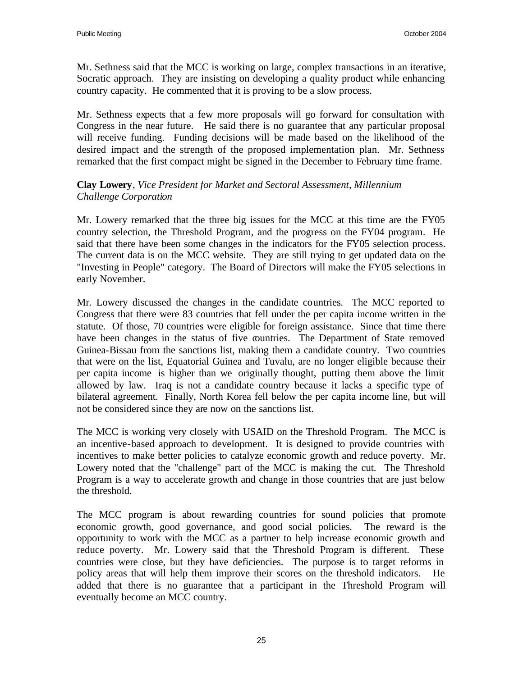Mr. Sethness said that the MCC is working on large, complex transactions in an iterative, Socratic approach. They are insisting on developing a quality product while enhancing country capacity. He commented that it is proving to be a slow process.

Mr. Sethness expects that a few more proposals will go forward for consultation with Congress in the near future. He said there is no guarantee that any particular proposal will receive funding. Funding decisions will be made based on the likelihood of the desired impact and the strength of the proposed implementation plan. Mr. Sethness remarked that the first compact might be signed in the December to February time frame.

#### **Clay Lowery**, *Vice President for Market and Sectoral Assessment, Millennium Challenge Corporation*

Mr. Lowery remarked that the three big issues for the MCC at this time are the FY05 country selection, the Threshold Program, and the progress on the FY04 program. He said that there have been some changes in the indicators for the FY05 selection process. The current data is on the MCC website. They are still trying to get updated data on the "Investing in People" category. The Board of Directors will make the FY05 selections in early November.

Mr. Lowery discussed the changes in the candidate countries. The MCC reported to Congress that there were 83 countries that fell under the per capita income written in the statute. Of those, 70 countries were eligible for foreign assistance. Since that time there have been changes in the status of five countries. The Department of State removed Guinea-Bissau from the sanctions list, making them a candidate country. Two countries that were on the list, Equatorial Guinea and Tuvalu, are no longer eligible because their per capita income is higher than we originally thought, putting them above the limit allowed by law. Iraq is not a candidate country because it lacks a specific type of bilateral agreement. Finally, North Korea fell below the per capita income line, but will not be considered since they are now on the sanctions list.

The MCC is working very closely with USAID on the Threshold Program. The MCC is an incentive-based approach to development. It is designed to provide countries with incentives to make better policies to catalyze economic growth and reduce poverty. Mr. Lowery noted that the "challenge" part of the MCC is making the cut. The Threshold Program is a way to accelerate growth and change in those countries that are just below the threshold.

The MCC program is about rewarding countries for sound policies that promote economic growth, good governance, and good social policies. The reward is the opportunity to work with the MCC as a partner to help increase economic growth and reduce poverty. Mr. Lowery said that the Threshold Program is different. These countries were close, but they have deficiencies. The purpose is to target reforms in policy areas that will help them improve their scores on the threshold indicators. He added that there is no guarantee that a participant in the Threshold Program will eventually become an MCC country.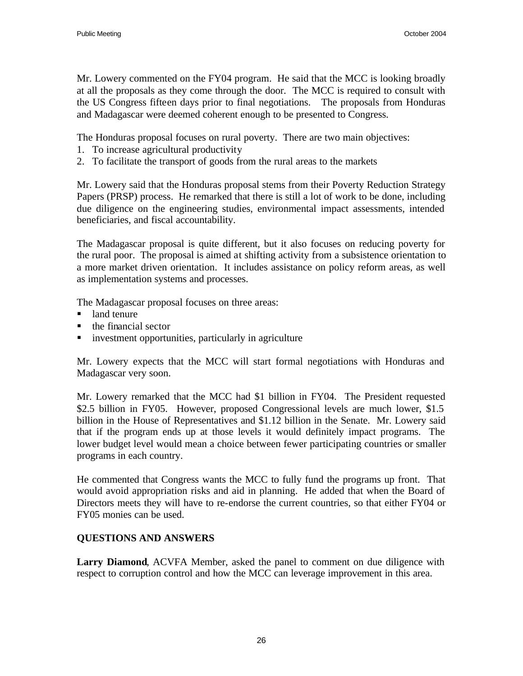Mr. Lowery commented on the FY04 program. He said that the MCC is looking broadly at all the proposals as they come through the door. The MCC is required to consult with the US Congress fifteen days prior to final negotiations. The proposals from Honduras and Madagascar were deemed coherent enough to be presented to Congress.

The Honduras proposal focuses on rural poverty. There are two main objectives:

- 1. To increase agricultural productivity
- 2. To facilitate the transport of goods from the rural areas to the markets

Mr. Lowery said that the Honduras proposal stems from their Poverty Reduction Strategy Papers (PRSP) process. He remarked that there is still a lot of work to be done, including due diligence on the engineering studies, environmental impact assessments, intended beneficiaries, and fiscal accountability.

The Madagascar proposal is quite different, but it also focuses on reducing poverty for the rural poor. The proposal is aimed at shifting activity from a subsistence orientation to a more market driven orientation. It includes assistance on policy reform areas, as well as implementation systems and processes.

The Madagascar proposal focuses on three areas:

- land tenure
- $\blacksquare$  the financial sector
- $\blacksquare$  investment opportunities, particularly in agriculture

Mr. Lowery expects that the MCC will start formal negotiations with Honduras and Madagascar very soon.

Mr. Lowery remarked that the MCC had \$1 billion in FY04. The President requested \$2.5 billion in FY05. However, proposed Congressional levels are much lower, \$1.5 billion in the House of Representatives and \$1.12 billion in the Senate. Mr. Lowery said that if the program ends up at those levels it would definitely impact programs. The lower budget level would mean a choice between fewer participating countries or smaller programs in each country.

He commented that Congress wants the MCC to fully fund the programs up front. That would avoid appropriation risks and aid in planning. He added that when the Board of Directors meets they will have to re-endorse the current countries, so that either FY04 or FY05 monies can be used.

# **QUESTIONS AND ANSWERS**

**Larry Diamond**, ACVFA Member, asked the panel to comment on due diligence with respect to corruption control and how the MCC can leverage improvement in this area.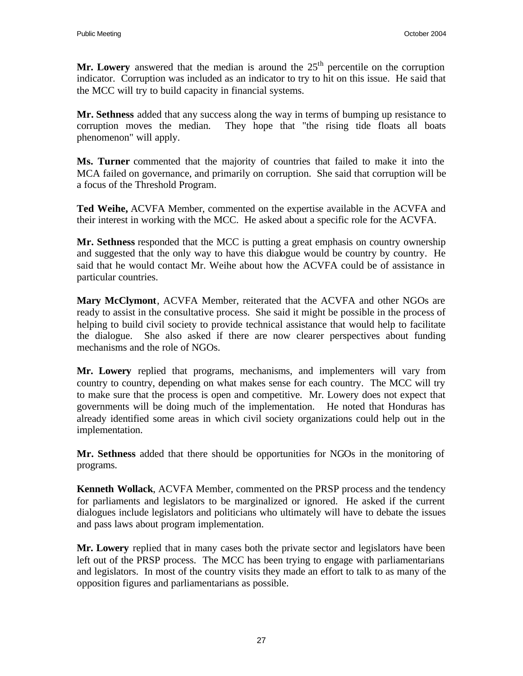**Mr. Lowery** answered that the median is around the  $25<sup>th</sup>$  percentile on the corruption indicator. Corruption was included as an indicator to try to hit on this issue. He said that the MCC will try to build capacity in financial systems.

**Mr. Sethness** added that any success along the way in terms of bumping up resistance to corruption moves the median. They hope that "the rising tide floats all boats phenomenon" will apply.

**Ms. Turner** commented that the majority of countries that failed to make it into the MCA failed on governance, and primarily on corruption. She said that corruption will be a focus of the Threshold Program.

**Ted Weihe,** ACVFA Member, commented on the expertise available in the ACVFA and their interest in working with the MCC. He asked about a specific role for the ACVFA.

**Mr. Sethness** responded that the MCC is putting a great emphasis on country ownership and suggested that the only way to have this dialogue would be country by country. He said that he would contact Mr. Weihe about how the ACVFA could be of assistance in particular countries.

**Mary McClymont**, ACVFA Member, reiterated that the ACVFA and other NGOs are ready to assist in the consultative process. She said it might be possible in the process of helping to build civil society to provide technical assistance that would help to facilitate the dialogue. She also asked if there are now clearer perspectives about funding mechanisms and the role of NGOs.

**Mr. Lowery** replied that programs, mechanisms, and implementers will vary from country to country, depending on what makes sense for each country. The MCC will try to make sure that the process is open and competitive. Mr. Lowery does not expect that governments will be doing much of the implementation. He noted that Honduras has already identified some areas in which civil society organizations could help out in the implementation.

**Mr. Sethness** added that there should be opportunities for NGOs in the monitoring of programs.

**Kenneth Wollack**, ACVFA Member, commented on the PRSP process and the tendency for parliaments and legislators to be marginalized or ignored. He asked if the current dialogues include legislators and politicians who ultimately will have to debate the issues and pass laws about program implementation.

**Mr. Lowery** replied that in many cases both the private sector and legislators have been left out of the PRSP process. The MCC has been trying to engage with parliamentarians and legislators. In most of the country visits they made an effort to talk to as many of the opposition figures and parliamentarians as possible.